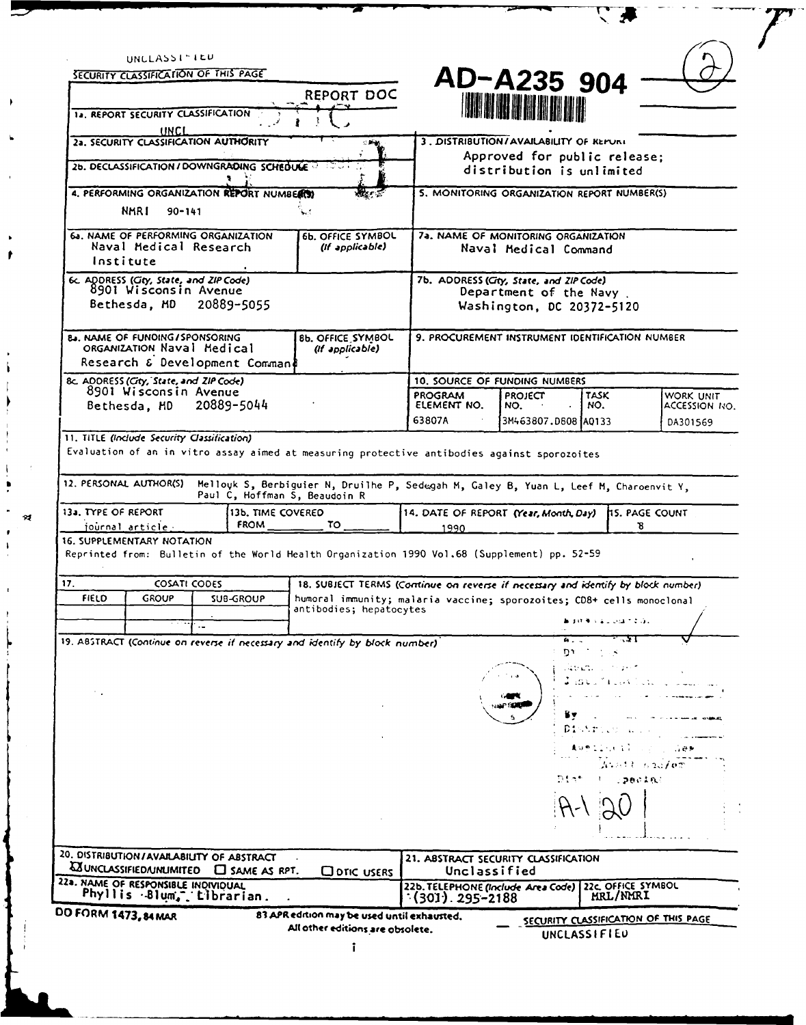| UNCLASSI-IEU<br>SECURITY CLASSIFICATION OF THIS PAGE                                                                                                          |                  |                                                                                                  |                                                                                                 |                                                              |                                |                                      |
|---------------------------------------------------------------------------------------------------------------------------------------------------------------|------------------|--------------------------------------------------------------------------------------------------|-------------------------------------------------------------------------------------------------|--------------------------------------------------------------|--------------------------------|--------------------------------------|
|                                                                                                                                                               |                  | REPORT DOC                                                                                       |                                                                                                 | AD-A235 904                                                  |                                |                                      |
| 12. REPORT SECURITY CLASSIFICATION                                                                                                                            |                  |                                                                                                  |                                                                                                 | <b>THE THE BILLER OF THE BEATLE</b>                          |                                |                                      |
| UNCL<br>2a. SECURITY CLASSIFICATION AUTHORITY                                                                                                                 |                  |                                                                                                  |                                                                                                 | 3. DISTRIBUTION/AVAILABILITY OF KEPURI                       |                                |                                      |
|                                                                                                                                                               |                  | $\sim 100$                                                                                       |                                                                                                 | Approved for public release;                                 |                                |                                      |
| 26. DECLASSIFICATION / DOWNGRADING SCHEDULE                                                                                                                   |                  |                                                                                                  |                                                                                                 | distribution is unlimited                                    |                                |                                      |
| 4. PERFORMING ORGANIZATION REPORT NUMBER(S)                                                                                                                   |                  |                                                                                                  |                                                                                                 | 5. MONITORING ORGANIZATION REPORT NUMBER(S)                  |                                |                                      |
| NMR I<br>$90 - 141$                                                                                                                                           |                  |                                                                                                  |                                                                                                 |                                                              |                                |                                      |
| 6a. NAME OF PERFORMING ORGANIZATION<br>Naval Medical Research<br>Institute                                                                                    |                  | <b>6b. OFFICE SYMBOL</b><br>(if applicable)                                                      |                                                                                                 | 7a. NAME OF MONITORING ORGANIZATION<br>Naval Medical Command |                                |                                      |
| 6c. ADDRESS (City, State, and ZIP Code)<br>8901 Wisconsin Avenue<br>Bethesda, MD 20889-5055                                                                   |                  |                                                                                                  | 7b. ADDRESS (City, State, and ZIP Code)<br>Department of the Navy.<br>Washington, DC 20372-5120 |                                                              |                                |                                      |
| <b>E.J. NAME OF FUNDING/SPONSORING</b><br>ORGANIZATION Naval Medical<br>Research & Development Comman&                                                        |                  | <b>8b. OFFICE SYMBOL</b><br>(If applicable)                                                      |                                                                                                 | 9. PROCUREMENT INSTRUMENT IDENTIFICATION NUMBER              |                                |                                      |
| 8c. ADDRESS (City, State, and ZIP Code)                                                                                                                       |                  |                                                                                                  |                                                                                                 | 10. SOURCE OF FUNDING NUMBERS                                |                                |                                      |
| 8901 Wisconsin Avenue<br>Bethesda, HD                                                                                                                         | 20889-5044       |                                                                                                  | <b>PROGRAM</b><br>ELEMENT NO.                                                                   | <b>PROJECT</b><br>NO.                                        | <b>TASK</b><br>NO.             | WORK UNIT<br>ACCESSION NO.           |
|                                                                                                                                                               |                  |                                                                                                  | 63807A                                                                                          | 3M463807.D808 AQ133                                          |                                | DA301569                             |
| journal article -<br><b>16. SUPPLEMENTARY NOTATION</b>                                                                                                        | <b>FROM</b>      | τo τ                                                                                             | 1990                                                                                            |                                                              | 8                              |                                      |
| Reprinted from: Bulletin of the World Health Organization 1990 Vol.68 (Supplement) pp. 52-59                                                                  |                  |                                                                                                  |                                                                                                 |                                                              |                                |                                      |
| 17.<br><b>COSATI CODES</b>                                                                                                                                    |                  | 18. SUBJECT TERMS (Continue on reverse if necessary and identify by block number)                |                                                                                                 |                                                              |                                |                                      |
| <b>FIELD</b><br><b>GROUP</b>                                                                                                                                  | <b>SUB-GROUP</b> | humoral immunity; malaria vaccine; sporozoites; CD8+ cells monoclonal<br>antibodies; hepatocytes |                                                                                                 |                                                              |                                |                                      |
|                                                                                                                                                               |                  |                                                                                                  |                                                                                                 |                                                              | 法终审 人名尼亚维尔尼海尔                  |                                      |
| 19. ABSTRACT (Continue on reverse if necessary and identify by block number)                                                                                  |                  |                                                                                                  |                                                                                                 | A.,<br>י רמ                                                  | $\sim 10$                      |                                      |
|                                                                                                                                                               |                  |                                                                                                  |                                                                                                 |                                                              | Japan, J<br>Japones Car        |                                      |
|                                                                                                                                                               |                  |                                                                                                  |                                                                                                 |                                                              | District<br>再加热型空气机 空空         | .123                                 |
|                                                                                                                                                               |                  |                                                                                                  |                                                                                                 | Diar                                                         | みならしし ちつごえのか<br>pecial         |                                      |
|                                                                                                                                                               |                  |                                                                                                  |                                                                                                 |                                                              |                                |                                      |
|                                                                                                                                                               |                  |                                                                                                  | 21. ABSTRACT SECURITY CLASSIFICATION                                                            |                                                              |                                |                                      |
| 20. DISTRIBUTION/AVAILABILITY OF ABSTRACT<br><b>WUNCLASSIFIED/UNLIMITED C</b> SAME AS RPT.<br>22a. NAME OF RESPONSIBLE INDIVIDUAL<br>Phyllis Blum, tibrarian. |                  | <b>CO OTIC USERS</b>                                                                             | Unclassified<br>22b. TELEPHONE (Include Area Code)<br>$(301)$ . 295–2188                        |                                                              | 22c. OFFICE SYMBOL<br>MRL/NMRI |                                      |
| DO FORM 1473, 84 MAR                                                                                                                                          |                  | 83 APR edition may be used until exhausted.<br>All other editions are obsolete.                  |                                                                                                 |                                                              |                                | SECURITY CLASSIFICATION OF THIS PAGE |

 $\mathbf{r}$ 

 $\overline{\phantom{a}}$ 

J  $\ddot{\bullet}$   $\overline{\mathcal{F}}$ 

 $\sqrt{2}$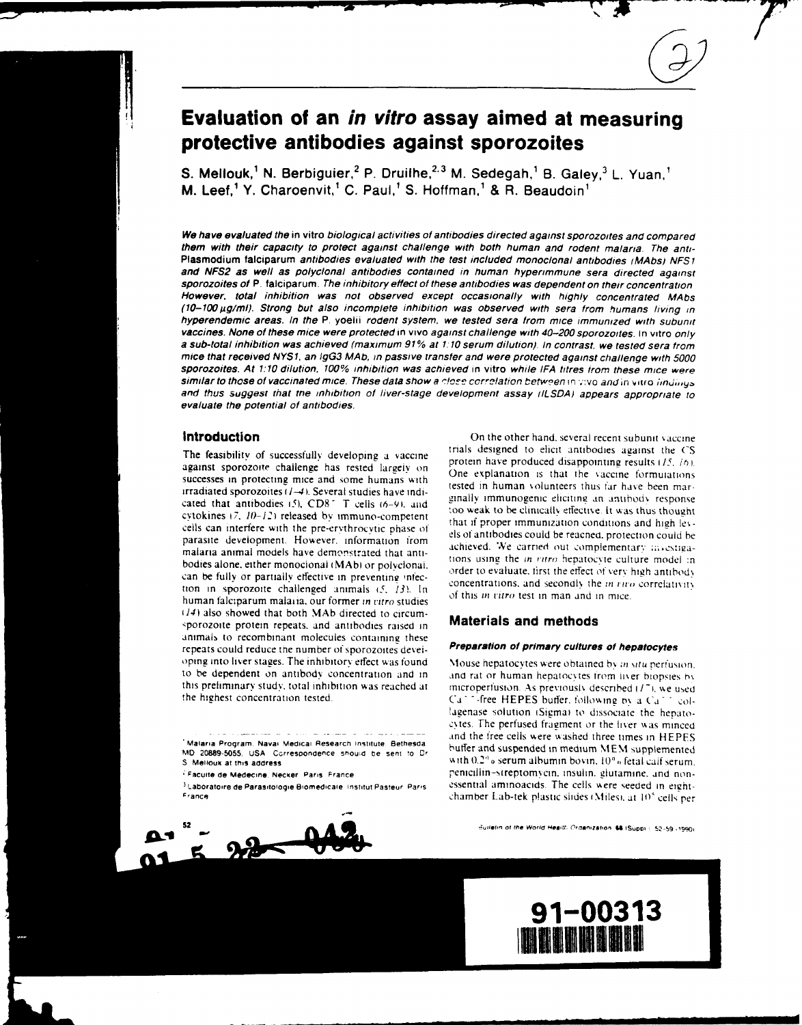# **Evaluation of an in vitro assay aimed at measuring protective antibodies against sporozoites**

**S. Mellouk,<sup>1</sup> N. Berbiguier,<sup>2</sup> P. Druilhe,<sup>2,3</sup> M. Sedegah,<sup>1</sup> B. Galey,<sup>3</sup> L. Yuan,** M. Leef,l Y. Charoenvit,' **C.** Paul,' **S.** Hoffman,' **&** R. Beaudoin'

We have evaluated the in vitro biological activities of antibodies directed against sporozoites and compared them with their capacity to protect against challenge with both human and rodent malaria. The anti-Plasmodium falciparum antibodies evaluated with the test included monoclonal antibodies *lMAbsi* **NFS I** and **NFS2** as well as polyclonal antibodies contained in human hyperimmune sera directed against sporozoites of P. falciparum. The inhibitory effect of these antibodies was dependent on their concentration However, total inhibition was not observed except occasionally with highly concentrated MAbs *(10-100,ug/ml).* Strong but also incomplete inhibition was observed with sera from humans living in hyperendemic areas. In the P. yoelii rodent *system,* we tested sera from mice immunized with subunit vaccines. None of these mice were protected in vivo against challenge with 40-200 sporozoites. In vitro only<br>a sub-total inhibition was achieved (maximum 91% at 1:10 serum dilution). In contrast, we tested sera from mice that received **NYSI,** an */gG3* **MAb,** in passive transfer and were protected against challenge with 5000 sporozoites. At 1:10 dilution, 100% inhibition was achieved in vitro while IFA titres from these mice were<br>similar to those of vaccinated mice. These data show a close correlation between in vivo and in vitro iindings and thus suggest that me inhibition of liver-stage development assay *ILSDA)* appears appropriate to evaluate the potential of antibodies.

against sporozoite challenge has rested largely on  $\frac{p_{\text{total}}}{p_{\text{total}}}$  on  $\frac{p_{\text{total}}}{p_{\text{total}}}$  on  $\frac{p_{\text{total}}}{p_{\text{total}}}$  in  $\frac{p_{\text{total}}}{p_{\text{total}}}$  is that the vaccine formulations successes in protecting mice and some humans with irradiated sporozoites ( $l = 41.$  Several studies have indi-<br>irradiated sporozoites ( $l = 5$ ). Several studies have indi-<br>cated that antibodive i-51. CD<sup>o-1</sup>. T wells (4. 0) and - ginally immunogenic eliciting an antibody r cated that antibodies (5),  $CD8 - T$  cells (6-9), and<br>cated that antibodies (5),  $CD8 - T$  cells (6-9), and<br>cytokines (7, 10-12) released by immuno-completent<br>cytokines (7, 10-12) released by immuno-completent<br>that if proper im cells can interfere with the pre-ervthrocytic phase of els of antibodies could be reacned, protection could be reacned, the protection could be reached. parasite development. However, information from<br>malaria animal models have demonstrated that anti-<br>bodies alone, either monocional (MAb) or polyclonal,<br>and he fells are parasitive of processing the interval of the state of can be fully or partially effective in preventing infection of the contrations, and secondly the *in titro* correlativity<br>tion in sporozoite challenged animals (5, 13). In human falciparum malaria, our former in vitro stu *t14)* also showed that both MAb directed to circum- 'porozoite protein repeats. and antibodies raised in **Materials and methods** animals to recombinant molecules containing these repeats could reduce the number of sporozoites devei- **Preparation of primary cultures of hepatocytes** oping into liver stages. The inhibitory effect was found Mouse hepatocytes were obtained by *in situ perfusion*. to be dependent on antibody concentration and in and rat or human hepatocytes from liver biopsies by this preliminary study, total inhibition was reached at microperfusion. As previously described (17), we used

**Malaria Program Nava' Medical Research institute Bethesae**



**Introduction Introduction On the other hand, several recent subunit vaccine** The feasibility of successfully developing a vaccine **The** *The CS The feasibility of successfully developing a vaccine 1p The produced disappointing results (15, 16)* 

the highest concentration tested.  $C_d$  - free HEPES buffer, following by a  $Ca^{+1}$  col-1agenase solution iSiemai to dissociate the hepatocytes. The perfused fragment or the liver was minced and the free cells were washed three times in HEPES MD **20889-5055. USA Ccrresoondence should be sent !** buffer and suspended in medium **EM** supplemented S Melloux at this address **with the serve of the server in the calf serum** albumin bovin,  $10^6$ , fetal calf serum. F<br>**Facuile de Medecine** Necker Paris France *penicillin-sireptomycin. insulin. glutamine. and non-***Laboratire de Parasitologie Bomedicaie Institut Pasteur Parts** essential amlnoacids. The cells vere seeded in eicht-**France** chamber Lab-tek plastic shdes . Milesi. at 10<sup>5</sup> cells per

 $3$ **ulletin of the World Health Ordanization 68 (Suppl): 52-59 (1990)** 



**i n'**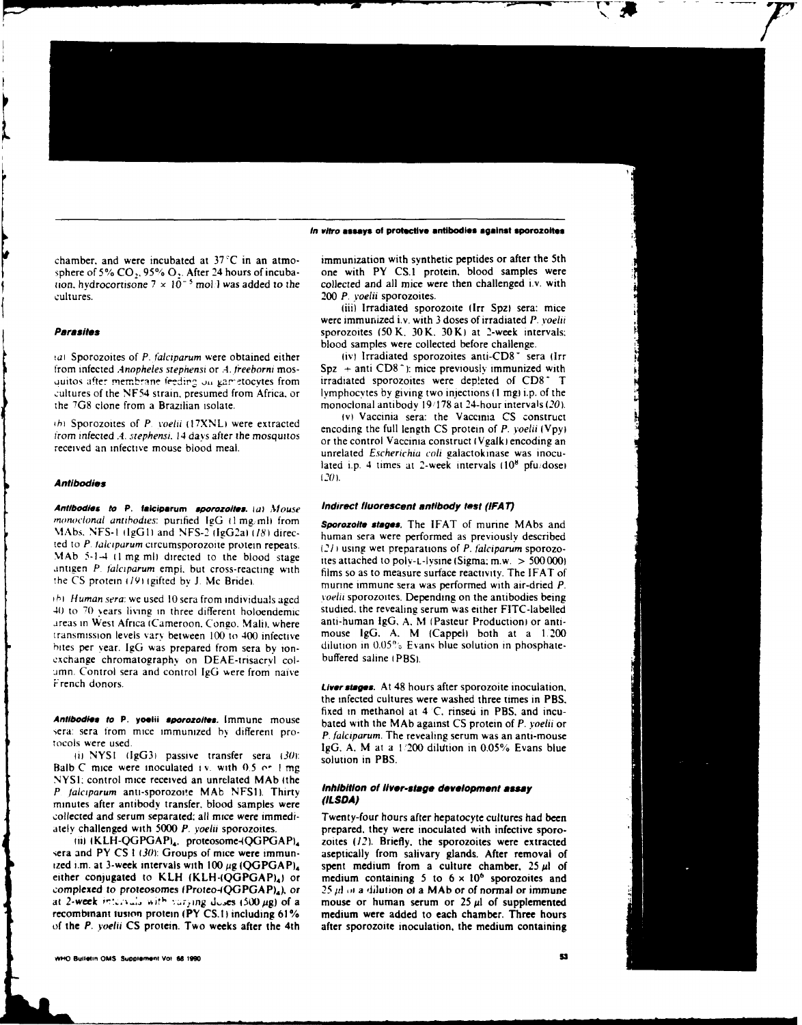### **In vitro assays of protmlctiv antibodies against sporozoites**

*tion.* hydrocortisone  $7 \times 10^{-5}$  moll was added to the cultures. 200 P. *yoelii* sporozoites.

*taI* Sporozoites of *P. falciparum* were obtained either from infected *Anopheles stephensi* or *A. freeborni* mos-<br>
spz + anti CD8<sup>+</sup>): mice previously immunized with<br>
unitos after membrane feeding on gametocytes from intradiated sporozoites were depleted of CD8<sup>+</sup>. T quitos after membrane feeding on gametocytes from cultures of the NF54 strain, presumed from Africa, or the <sup>7</sup>G8 clone from a Brazilian isolate. monoclonal antibody 19/178 at 24-hour intervals (20).<br>
(v) Vaccinia sera: the Vaccinia CS construct

## **Antibodies** (20).

**Antibodies to P. falciparum sporozoiles.** *la)* Mouse *Indirect* **fluorescent antibody** *test* **(IFA** *T) monochnal antibodzes:* purified lgG **I** mg; ml from **Sporozoite stages.** The **IFAT** of munne MAbs and \lAbs. NFS-l IlgGl) and NFS-2 flgG2al *181* direc- human sera were performed as previously described ted to *P. falciparum* circumsporozoite protein repeats.  $(21)$  using wet preparations of *P. falciparum* sporozo-MAb 5-1-4 **(1 mg ml)** directed to the blood stage thes attached to polv-L-lysine (Sigma: m.w. > 500 000) antigen P *talciparum* empl. but cross-reacting with films so as to measure surface reactivity. The IFAT of

41) to **7()** .ears living in three different holoendemic studied, the revealing serum was either FITC-labelled areas in West Africa (Cameroon, Congo. Mali), where anti-human IgG, A. M. (Pasteur Production) or anti-<br>transmission levels vary between 100 to 400 infective mouse IgG. A. M. (Cappel) both at a 1.200 transmission levels vary between 100 to 400 infective mouse IgG. A. M (Cappel) both at a 1.200 bites per year. IgG was prepared from sera by ion- dilution in 0.05% Evans blue solution in phosphateexchange chromatography on DEAE-trisacryl col-<br>buffered saline (PBS). amn. Control sera and control **IgG** were from naive French donors. *Liver stages.* At 48 hours after sporozoite inoculation,

tocols were used.

li NYSI **(IgG3)** passive transfer sera *301:* solution in PBS. Balb C mice were inoculated i **v.** with **0.5** *o-* I mg NYSI: control mice received an unrelated **MAb** ithe *P lalcparum* anti-sporozoite MAb NFSI). Thirty *Inhibition* **of** *liver-stage* **development assay** minutes after antibody transfer, blood samples were collected and serum separated: all mice were immedi-<br>Twenty-four hours after hepatocyte cultures had been

sera and PY CS 1 (30): Groups of mice were immun-<br>intervals with 100  $\mu$ g (QGPGAP)<sub>4</sub> spent medium from a culture chamber, 25  $\mu$ l of either conjugated to KLH (KLH- $(QGPGAP)_4$ ) or medium containing 5 to 6 x 10<sup>6</sup> sporozoites and *complexed to* proteosomes **lProieo-QGPGAP),),** or 25 *Izl m,* a dilution *o* **a MAb** or of normal or immune at 2-week intervals with varying doses  $(500 \mu g)$  of a mouse or human serum or 25  $\mu$ l of supplemented recombinant tusion protein (PY **CS.1)** including **61 %** medium were added to each chamber. Three hours of the **P.** *yoeiii* **CS** protein. Two weeks after the 4th after sporozoite inoculation, the medium containing

chamber, and were incubated at  $37^{\circ}$ C in an atmo- immunization with synthetic peptides or after the 5th sphere of 5%  $CO_2$ , 95%  $O_2$ . After 24 hours of incuba- one with PY CS.1 protein, blood samples were tion, hydrocortisone  $7 \times 10^{-5}$  mol.1 was added to the collected and all mice were then challenged i.v. with

(iii) Irradiated sporozoite lrr Spz) sera: mice were immunized i.v. with 3 doses of irradiated P. voelii **Parasites sporozoites** (50 K, 30 K) at 2-week intervals: blood samples were collected before challenge.<br>(iv) Irradiated sporozoites anti-CD8<sup>+</sup> sera (Irr

lymphocytes by giving two injections  $(1 \text{ mg})$  i.p. of the

ov) Vaccinia sera: the Vaccina CS construct *<sup>f</sup>*Sporozoi tes of *P. voe/ii* 17XNLI were extracted encoding the full length CS protein of **P.** *yoelii* **(Vpyl** from infected .4. *stephensi*. 14 days after the mosquitos or the control Vaccinia construct (Vgalk) encoding an received an infective mouse blood meal.<br>unrelated *Escherichia coli* galactokinase was inoculated i.p. 4 times at 2-week intervals  $(10^8 \text{ pfu/dose})$ 

the CS protein (19) (gifted by J. Mc Bride).<br>murine immune sera was performed with air-dried P. *(b)* Human sera: we used 10 sera from individuals aged voelii sporozoites. Depending on the antibodies being

the infected cultures were washed three times in PBS, fixed in methanol at  $4^\circ$ C, rinsed in PBS, and incu-**Antibodies to P. yoelii sporozoites.** Immune mouse bated with the MAb against CS protein of P. yoelii or<br>sera: sera from mice immunized by different pro-<br>p. falciparum. The revealing serum was an anti-mouse  $lgG$ . A. M at a  $1/200$  dilution in 0.05% Evans blue

ately challenged with 5000 P. yoelii sporozoites. prepared, they were inoculated with infective sporo**ii)** iKLH-QGPGAP,, proteosome4QGPGAPI, zoites (12). Briefly. the sporozoites were extracted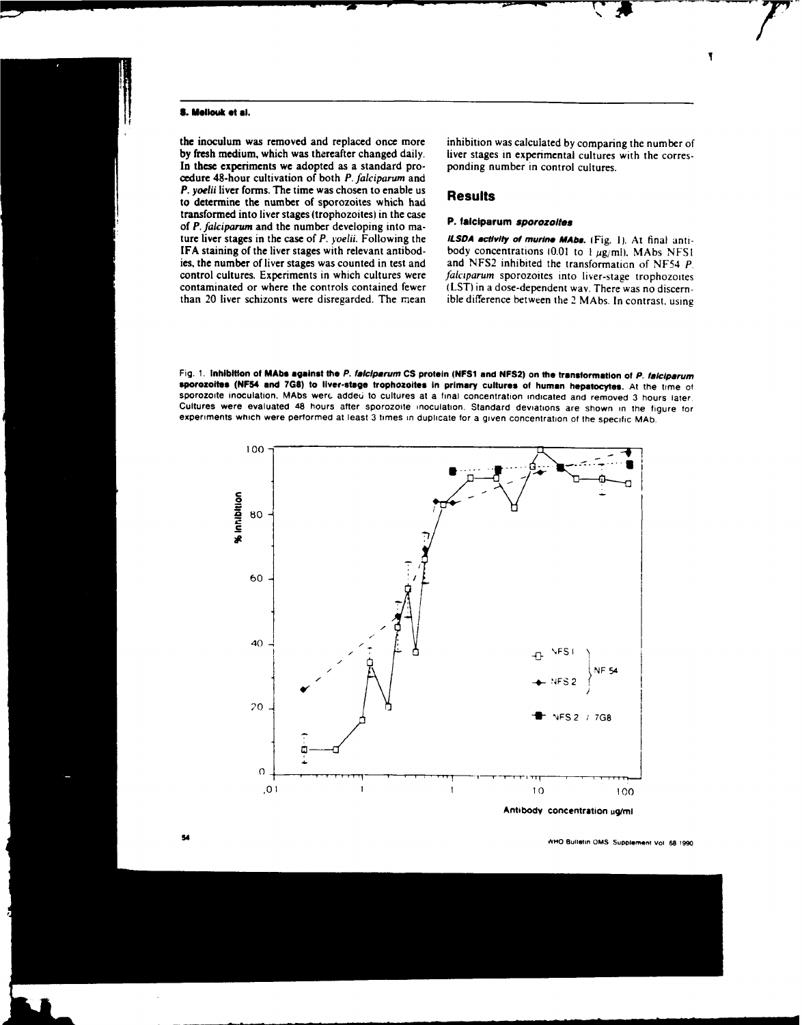### **S. MIlouk at al.**

the inoculum was removed and replaced once more inhibition was calculated **by** comparing the number of In these experiments we adopted as a standard pro- ponding number in control cultures. cedure 48-hour cultivation of both **P.** *falciparum* and **P.** *yoelii* liver forms. The time was chosen to enable us **Results to determine the number of sporozoites which** had transformed into liver stages (trophozoites) in the case of **P.** *falciparum* and the number developing into ma- **P. falciparum** *sporozoltes* ture liver stages in the case of **P. yoeli.** Following the **ILSDA acllvity of murine MAbs.** (Fig. **1).** At final anti-

liver stages in experimental cultures with the corres-

**IFA staining of the liver stages with relevant antibod-** body concentrations  $10.01$  to  $1 \mu \text{g/ml}$ , MAbs NFS1 ies, the number of liver stages was counted in test and and **NFS2** inhibited the transformation of **NF54 P.** control cultures. Experiments in which cultures were falciparum sporozoites into liver-stage trophozoites contaminated or where the controls contained fewer **(LST)** in a dose-dependent way. There was no discernthan 20 liver schizonts were disregarded. The riean ible difference between the 2 MAbs. In contrast. using





**FA overally overally** *bulletin* **CMS Supplement Vol. 68 1990**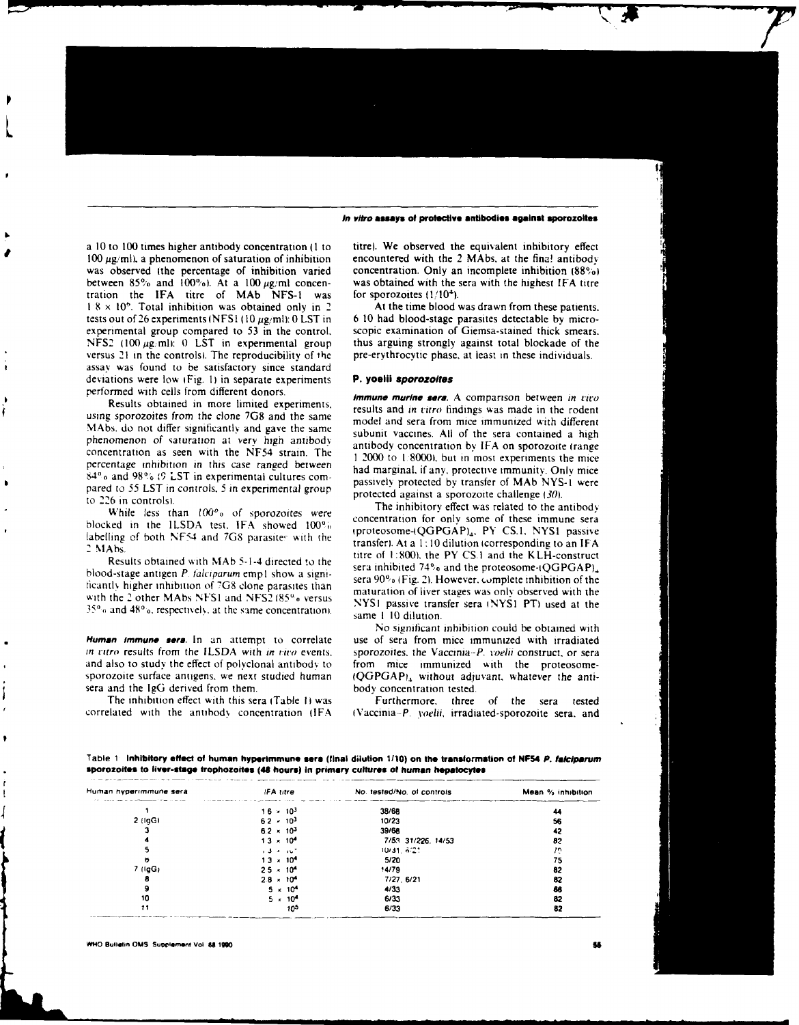### *In vitro* **assays of protective antibodies against aporozoites**

a 10 to 100 times higher antibody concentration (1 to titre). We observed the equivalent inhibitory effect  $100 \mu g/ml$ , a phenomenon of saturation of inhibition encountered with the 2 MAbs, at the fina! antibody was observed (the percentage of inhibition varied concentration. Only an incomplete inhibition  $(88^\circ)_{0}$ ) between 85% and  $100\%$ ). At a 100  $\mu$ g/ml concen- was obtained with the sera with the highest IFA titre tration the IFA titre of MAb NFS-1 was for sporozoites  $(1/10^4)$ . tration the IFA titre of MAb NFS-1 was I 8 x **10'.** Total inhibition was obtained only in 2 At the time blood was drawn from these patients. experimental group compared to 53 in the control, scopic examination of Giemsa-stained thick smears.<br>NFS2 (100  $\mu$ g/ml): 0 LST in experimental group thus arguing strongly against total blockade of the NFS2 (100  $\mu$ g/ml): 0 LST in experimental group thus arguing strongly against total blockade of the versus 21 in the controls). The reproducibility of the pre-erythrocytic phase, at least in these individuals. assay was found to be satisfactory since standard deviations were low i Fig. **1)** in separate experiments **P. yoelii** *Sporozoites* performed with cells from different donors. **Immune murine** *sara.* A comparison between *in tvio*

using sporozoites from the clone 7G8 and the same model and sera from mice immunized with different MAbs. do not differ significantly and gave the same<br>subunit vaccines. All of the sera contained a high<br>phenomenon of assumption at subunit vactor subunit vaccines. All of the sera contained a high phenomenon of saturation at very high antibody<br>concentration by IFA on sporozoite (range<br>noncentration as seen with the NF54 strain. The<br>1 2000 to 1 80001. but in most experiments the mice percentage inhibition in this case ranged between had marginal, if any, protective immunity. Only mice **84'o** and **98% 9, LST** in experimental cultures com- passively protected by transfer of MAb NYS-I were pared to 55 LST in controls. 5 in experimental group<br>to 226 in controlsition controlsition of the inhibitory effect was related to the antibody<br>The inhibitory effect was related to the antibody

labelling of both NF54 and 7G8 parasites with the

blood-stage antigen P. *lciparum* empl show a signi- sera **90%** (Fig. *2).* However. complete inhibition of the

*in ritro results from the ILSDA with in viro events.* sporozoites, the Vaccinia-P. voelii construct, or sera and also to study the effect of polyclonal antibody to from mice immunized with the proteosomesera and the  $IgG$  derived from them.

The inhibition effect with this sera (Table **II** was Furthermore. three of the sera tested

tests out of 26 experiments **(NFSI (10** pg,ml): 0 LST in 6 **10** had blood-stage parasites detectable **by** micro-

Results obtained in more limited experiments, results and *in titro* findings was made in the rodent

While less than 100<sup>o</sup><sub>0</sub> of sporozoites were concentration for only some of these immune sera<br>blocked in the ILSDA test. IFA showed 100<sup>o</sup><sub>0</sub> concentration for only some of these immune sera Example of DOM (NESA and 7OS parasites with the transfer). At a 1:10 dilution (corresponding to an IFA<br>2 MAbs.<br>Results obtained with MAb 5-1-4 directed to the RESA and the KLH-construct titre of 1:800), the PY CS.1 and the KLH-construct sera inhibited  $74\%$  and the proteosome- $(QGPGAP)_n$ . ficantly higher inhibition of 7G8 clone parasites than<br>with the 2 other MAbs NFS1 and NFS2 (85% versus<br> $35\%$  and 48%. respectively, at the same concentration).<br> $35\%$  and 48%. respectively, at the same concentration).<br> $3$ 

No significant inhibition could be obtained with Human immune **sera.** In an attempt to correlate use of sera from mice immunized with irradiated sporozoite surface antigens, we next studied human  $(QGPGAP)_4$  without adjuvant, whatever the anti-<br>sera and the IgG derived from them.

correlated with the antibody concentration (IFA ) (Vaccinia-P. *yoelii, irradiated-sporozoite sera, and* 

**Table 1 Inhibitory effect of human hyperimmune sere (final dilution 1110) on the transformation of NF54** *P. Jlciparum* **sporozoiis to liver-stage trphozoitea (48 hours) In primary cultures** *of* **human hepatocytes**

| Human hyperimmune sera | IFA titre           | No. tested/No. of controls | Mean % inhibition |
|------------------------|---------------------|----------------------------|-------------------|
|                        | $16 \times 10^{3}$  | 38/68                      | 44                |
| $2$ (lgG)              | $62 \times 10^{3}$  | 10/23                      | 56                |
|                        | $6.2 \times 10^{3}$ | 39/68                      | 42                |
|                        | $13 \times 10^{4}$  | 7/53 31/226 14/53          | 82                |
|                        | $1.3 - 10^{4}$      | 10/31, 6/21                | 72                |
| n                      | $13 \times 10^{4}$  | 5/20                       | 75                |
| 7(10G)                 | $25 \times 10^{4}$  | 14/79                      | 82                |
| 8                      | $28 \times 10^{4}$  | 7/27.6/21                  | 82                |
|                        | $5 \times 10^{4}$   | 4/33                       | 88                |
| 10                     | $5 \times 10^{4}$   | 6/33                       | 82                |
| 11                     | 102                 | 6/33                       | 82                |

**WHO Buildtin OMS Supplement Vol 58 1990**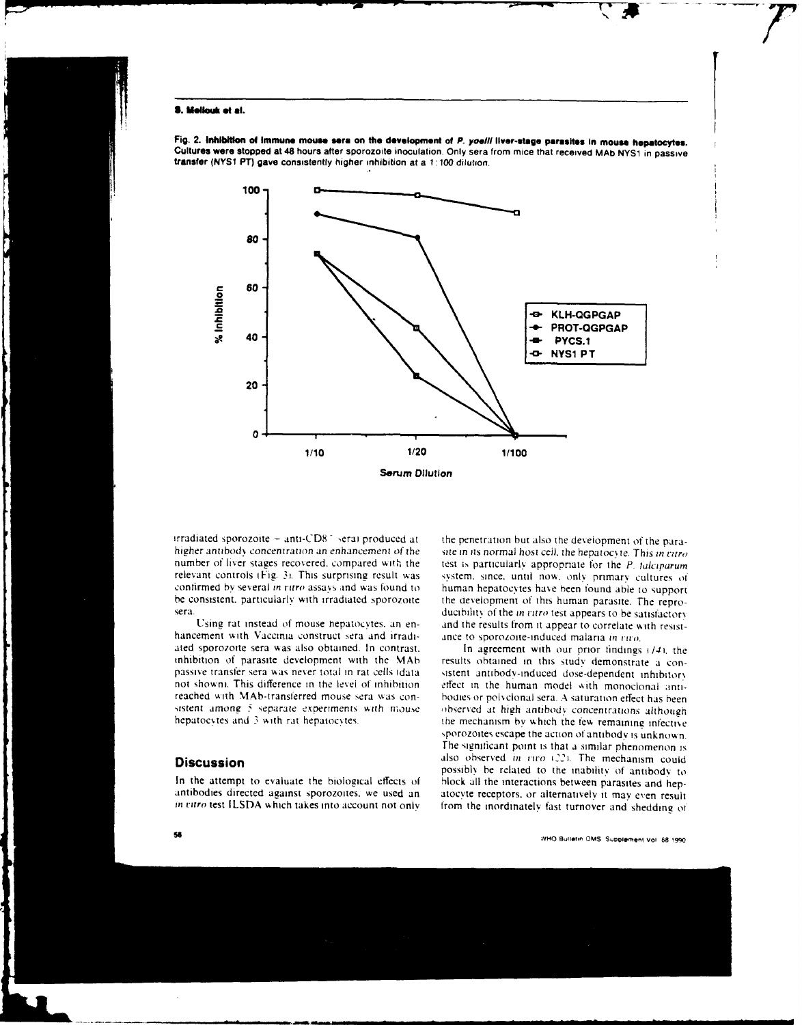### **S. Mailleult et al.**

i



Fig. 2. Inhibition of immune mouse sera on the development of P. yoelii liver-stage parasites in mouse hepatocytes.<br>Cultures were stopped at 48 hours after sporozoite inoculation. Only sera from mice that received MAb NYS1

irradiated sporozoite **-** anti-CD8 - erai produced at the penetration but also the development **of** the parahigher antibody concentration an enhancement of the site in its normal host cell, the hepatocyte. This in *ritro* number of liver stages recovered, compared with the test is particularly appropriate for the *P*-folonorum relevant controls (Fig. 3). This surprising result was system, since, until now, only primary cultures of confirmed by several *in curo* assays and was found to human hepatocytes have been found able to support confirmed by several in ritro assays and was found to human hepatocytes have been found able to support be consistent, particularly with irradiated sporozoite the development of this human parasite. The repro-

hancement with Vaccinia construct sera and irradiated sporozoite sera was also obtained. In contrast, **In agreement with our prior findings (14)**, the inhibition of parasite development with the MAb results obtained in this study demonstrate a con-

test is particularly appropriate for the P. *lalciparum* be consistent. particularly with irradiated sporozoite the development of this human parasite. The repro-<br>ducibility of the *in citro* test appears to be satisfactory ducibility of the in ritro test appears to be satisfactory Using rat instead of mouse hepatocytes. an en-<br>tement with Vaccinia construct sera and irradi-<br>ance to sporozoite-induced malaria in  $true$ .

inhibition of parasite development with the MAb results obtained in this study demonstrate a con-<br>passive transfer sera was never total in rat cells (data its site anti body-induced dose-dependent inhibitory<br>not shown). Th effect in the human model with monoclonal antireached with MAbt-iransterred mouse sera was con- bodies, or piolsclonal sera. **A** saturation effect has been sistent among 5 separate experiments with mouse *industed at high antibody concentrations although* hepatocytes and 3 with rat hepatocytes. the mechanism by which the few remaining infective. ,porozoites escape the action of antibody is unknown. The significant point is that a similar phenomenon is **also observed in the increduction could possibly be related to the inability of antibody to the inability of antibody to** In the attempt to evaluate the biological effects of block all the interactions between parasites and hep- antibodies directed against sporozoites, we used an atocyte receptors, or alternatively it may even result in vitro test ILSDA which takes into account not only from the inordinately fast turnover and shedding of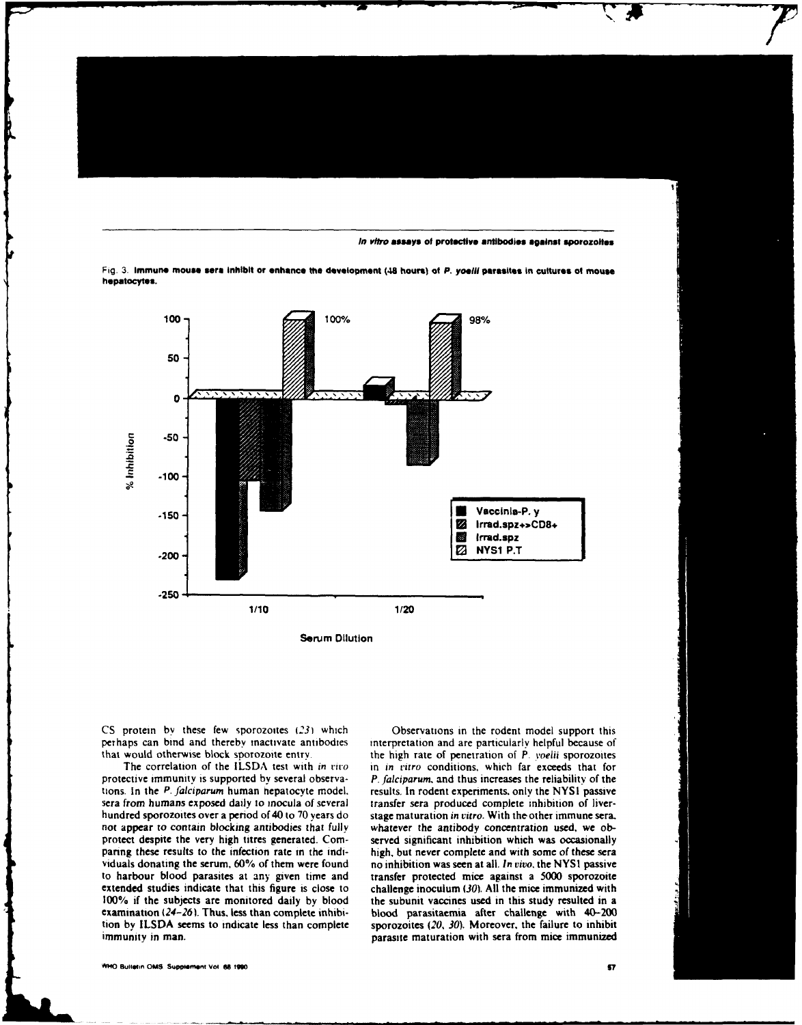**In vitro assays of protective antibodies against sporozoltsi**

Fig. **3. Immune mouse sere** Inhibit or **enhance the development (48 hours) of P. yoelll parasites in cultures of mouse hepatocytes.**



**CS** protein by these few sporozoites **(231** which Observations in the rodent model support this perhaps can bind and thereby inactivate antibodies interpretation and are particularly helpful because of

protective immunity is supported **by** several observa- P. falciparum and thus increases the reliability of the tions. In the P. falciparum human nepatocyte model, results. In rodent experiments, only the NYSI passive sera from humans exposed daily to mocula of several transfer sera produced complete inhibition of liverhundred sporozoites over a period of 40 to 70 years do stage maturation in vitro. With the other immune sera. not appear to contain blocking antibodies that fully whatever the antibody concentration used, we obprotect despite the very high titres generated. Com-<br>served significant inhibition which was occasionally paring these results to the infection rate in the indi- high, but never complete and with some of these sera viduals donating the serum. **60%** of them were found no inhibition was seen at all. In vivo. the NYSI passive to harbour blood parasites at any given time and transfer protected mice against a 5000 sporozoite extended studies indicate that this figure is close to challenge inoculum **(30). All** the mice immunized with 100% if the subjects are monitored daily by blood the subunit vaccines used in this study resulted in a examination (24-26). Thus, less than complete inhibi- blood parasitaenia after challenge with 40-200 tion by **ILSDA** seems to indicate less than complete sporozoites (20, 30). Moreover, the failure to inhibit immunity in man. parasite maturation with sera from mice immunized

that would otherwise block sporozoite entry. The high rate of penetration of P. voelii sporozoites The correlation of the **ILSDA** test with in *tito* in in ritro conditions, which far exceeds that for

M40 **Bu** lltn **OMS Supomt Vol i 1900**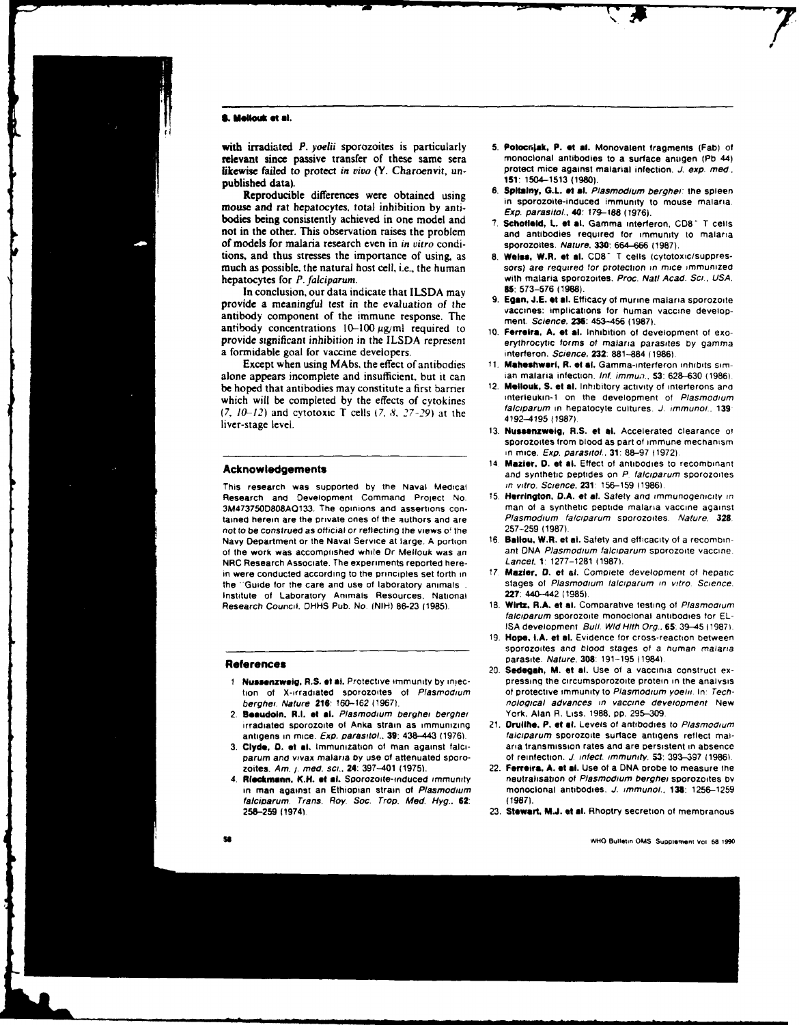### **8. Mellouk et al.**

with irradiated *P. yoelii* sporozoites is particularly 5. Potocniak, P. et al. Monovalent fragments (Fab) of relevant since passive transfer of these same sera monoclonal antibodies to a surface antigen (Pb 44) relevant since passive transfer of these same sera monoclonal antibodies to a surface antigen **(Pb** 44) likewise failed to protect in vivo **(Y. Charoenvit**, un**published data).** 151: 1504-1513 (1980)

Reproductive differences were cotained using in sporozoite-induced immunity to mouse malaria.<br>
Free description of the 170-188 (1976) mouse and rat hepatocytes. Total inhibition by anti-<br>bodies being consistently achieved in one model and **7. Schofield, L. et al.** Gamma interferon, CD8<sup>-</sup> T cells not in the other. This observation raises the problem and antibodies required for immunity to malaria of models for malaria research even in in vitro condi- sporozoites. Nature. **330: 664-666 (1987).** tions, and thus stresses the importance of using, as **8.** Weiss, W.R. at al. **CD8-** T cells (cytotoxic/SuppreSmuch as possible, the natural host cell, i.e., the human sors) are required tor protection in mice immunized

In conclusion, our data indicate that **I LSDA** may **85 573-576 (1988).** provide a meaningful test in the evaluation of the<br>antibody component of the immune response. The<br>antibody concentrations 10-100  $\mu$ g/ml required to<br>provide significant inhibition in the ILSDA represent<br>provide significan a formidable goal for vaccine developers. **interferon.** Science, **232**: 881-884 (1986).

Except when using MAbs. the effect of antibodies **11. Mahosihwort, R. et al.** Gamma-interferon inhibits Simalone appears incomplete and insufficient, but it can ian malaria infection. *Inf. immun.*, **53**: 628–630 (1986).<br>be honed that antibodies may constitute a first barrier 12. **Mellouk, S. et al.** Inhibitory activity of inte which will be completed by the effects of cytokines interleukin-1 on the development of *Plasmodium*<br>(2, 10, 12) and outotoxic T cells (2, 8, 27, 20) at the falciparum in hepatocyte cultures. J. immunol., 139 (7,  $10-12$ ) and cytotoxic T cells (7, 8, 27-29) at the and the state and the stage level.<br>1987).<br>13. **Nussenzweig, R.S. et al.** Accelerated clearance of

This research was supported by the Naval Medical in vitro. Science, 231: 156–159 (1986).<br>Research and Development Command Project No. 15, Herrington, D.A. et al. Safety and immunogenicity in Research and Development Command Project No. **3M4737500808A0133.** The opinions and assertions con- man of a synthetic peptide malaria vaccine against tained herein are the private ones of the authors and are Plasmodium falciparum sporozoites. Nature, 328.<br>not to be construed as official or reflecting the views of the 257–259 (1987). not to be construed as official or reflecting the views of the **257-259 (1987).**<br>Navy Department or the Naval Service at large, A portion 16. Ballou, W.R. et al. Safety and efficacity of a recombin-Navy Department or the Naval Service at large. **A** portion **16 Battou.** W.R. **at at.** Safety and efticacity of a recombinof the work was accomplished while Dr Mellouk was an ant DNA *Plasmodium falcip*<br>NPC Besearch Associate The experiments reported here. Lancet 1: 1277-1281 (1987). NRC Research Associate. The experiments reported herein were conducted according to the principles set forth in **17 Maziar. 0. at** al. Complete development of hepatic the "Guide for the care and use of laboratory animals **.** stages of *Plasmodium falls* in view of the stages of *Plasmodium in statute*. Science. National **227**: 440-442 (1985). Institute of Laboratory Animals Resources. National **227:** 4.40-442 **(1985).** Research Council. DHHS Pub. No. **(NIH) 86-23** (1985).

### References

- 
- 2. **Beaudoin. R.I. at al.** Plasmodium berghei berghei irradiated sporozoite of Anka strain as immunizing 21. **Druitho. P. of at.** Levels of antibodies to Plasmooium
- parum and vivax malaria **oy** use of attenuated sporo- of reinfection. **J.** infect, immunity. **53: 393-397 119861,**
- 4. Rieckmann. K.H. et al. Sporozoite-induced immunity *falciparum.* Trans. Roy. Soc. Trop. **Med. Hyg.. 62: (1987). 258-259** (19741 **23. Stewart. M.J. at at.** Rhoptry secretion of membranous
- 
- Reproducible differences were obtained using 6. Spltainy, G.L. at al. Plasmodium berghei: the spleen
	-
- hepatocytes for *P. falciparum*.<br>In conclusion our data indicate that II SDA may **85:** 573-576 (1988).
	-
	-
	-
- be hoped that antibodies may constitute a first barrier 12. **Metiouk, S. et al.** Inhibitory activity of interferons and<br>which will be completed by the effects of symbions. Interfeukin-1 on the development of *Plasmodium* 
	- sporozoites from blood as part of immune mechanism \_\_\_\_\_\_\_\_\_\_\_\_\_\_\_\_\_\_\_\_\_\_\_\_\_\_\_\_\_\_\_\_\_\_\_\_ in mice. Exp. parasitol.. **31: 88-97 (1972).**
- 14 Maztar. **0. at at.** Effect of antibodies to recombinant **Acknowledgemnents** and synthetic peptides on P falciparum sporozoites
	-
	-
	-
	- *falciparum* sporozoite monoclonal antibodies for **EL-ISA** development Bull. Wd Hith Org.. **65;** 39-45 **01987).**
	- **19. Hope. t.A. et at.** Evidence for cross-reaction between sporozoites and blood stages of a human malaria parasite. Nature, 308: 191-195 (1984).
- **Referncesparasite.** Nature. **301: 191-195** (19841, Refernces20. **Sedogah, M. at at.** Use **of** a vaccinia construct ex-1 **?usinzweig R.S. at al.** Protective immunity **by** iniec- pressing the circumsporozoite protein in the analysis tion of X-irradiated sporozoites of Plasmodium of protective immunity to Plasmodium yoelii. In: Techberghei. Nature 216: 160-162 (1967). *noiogical advances in vaccine development* New
- antigens in mice. Exp. parasitol.. **39:** 438-443 **11976).** falciparum sporozoite surface antigens reflect mal-**3. Clyde, 0. at at.** Immunization **of** man against falci- aria transmission rates and are persistent in absence
	- 22. **Ferreira, A. et al.** Use of a DNA probe to measure the neutralisation of *Plasmodium berghei* sporozoites by in man against an Ethiopian strain of Plasmodium monoclonal antibodies. **.J.** immunol., **138: 1256-1259**
		-

**so WHO** Bullieiin **dM5** Suopiemnt voi **6a 1990**